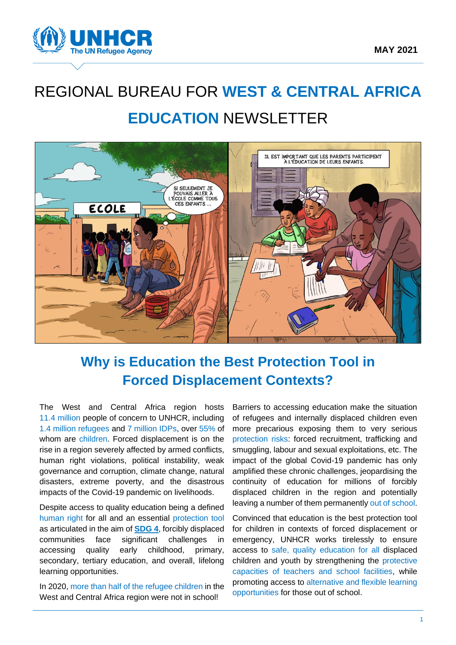

# REGIONAL BUREAU FOR **WEST & CENTRAL AFRICA EDUCATION** NEWSLETTER



# **Why is Education the Best Protection Tool in Forced Displacement Contexts?**

The West and Central Africa region hosts 11.4 million people of concern to UNHCR, including 1.4 million refugees and 7 million IDPs, over 55% of whom are children. Forced displacement is on the rise in a region severely affected by armed conflicts, human right violations, political instability, weak governance and corruption, climate change, natural disasters, extreme poverty, and the disastrous impacts of the Covid-19 pandemic on livelihoods.

Despite access to quality education being a defined human right for all and an essential protection tool as articulated in the aim of **[SDG 4](https://www.un.org/sustainabledevelopment/education/)**, forcibly displaced communities face significant challenges in accessing quality early childhood, primary, secondary, tertiary education, and overall, lifelong learning opportunities.

In 2020, more than half of the refugee children in the West and Central Africa region were not in school!

Barriers to accessing education make the situation of refugees and internally displaced children even more precarious exposing them to very serious protection risks: forced recruitment, trafficking and smuggling, labour and sexual exploitations, etc. The impact of the global Covid-19 pandemic has only amplified these chronic challenges, jeopardising the continuity of education for millions of forcibly displaced children in the region and potentially leaving a number of them permanently out of school.

Convinced that education is the best protection tool for children in contexts of forced displacement or emergency, UNHCR works tirelessly to ensure access to safe, quality education for all displaced children and youth by strengthening the protective capacities of teachers and school facilities, while promoting access to alternative and flexible learning opportunities for those out of school.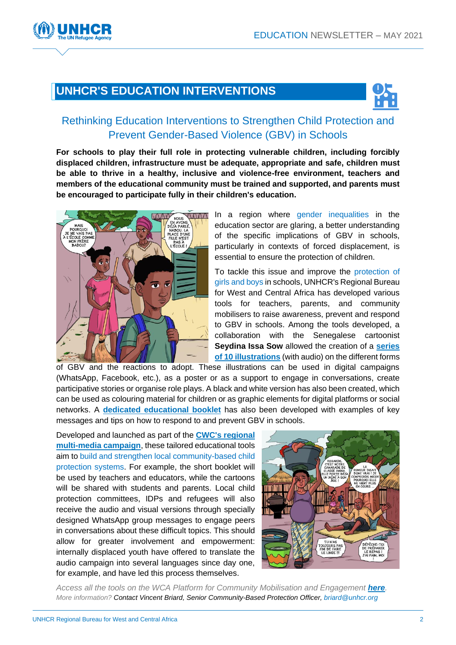### **UNHCR'S EDUCATION INTERVENTIONS**



#### Rethinking Education Interventions to Strengthen Child Protection and Prevent Gender-Based Violence (GBV) in Schools

**For schools to play their full role in protecting vulnerable children, including forcibly displaced children, infrastructure must be adequate, appropriate and safe, children must be able to thrive in a healthy, inclusive and violence-free environment, teachers and members of the educational community must be trained and supported, and parents must be encouraged to participate fully in their children's education.**



In a region where gender inequalities in the education sector are glaring, a better understanding of the specific implications of GBV in schools, particularly in contexts of forced displacement, is essential to ensure the protection of children.

To tackle this issue and improve the protection of girls and boys in schools, UNHCR's Regional Bureau for West and Central Africa has developed various tools for teachers, parents, and community mobilisers to raise awareness, prevent and respond to GBV in schools. Among the tools developed, a collaboration with the Senegalese cartoonist **Seydina Issa Sow** allowed the creation of a **[series](https://www.cwc.westafrica.exposed/methodologie-et-orientation/10-illustrations-sur-les-differentes-formes-de-vbg/)  of 10 [illustrations](https://www.cwc.westafrica.exposed/methodologie-et-orientation/10-illustrations-sur-les-differentes-formes-de-vbg/)** (with audio) on the different forms

of GBV and the reactions to adopt. These illustrations can be used in digital campaigns (WhatsApp, Facebook, etc.), as a poster or as a support to engage in conversations, create participative stories or organise role plays. A black and white version has also been created, which can be used as colouring material for children or as graphic elements for digital platforms or social networks. A **dedicated [educational booklet](https://www.cwc.westafrica.exposed/methodologie-et-orientation/la-violence-basee-sur-le-genre-en-milieu-scolaire/)** has also been developed with examples of key messages and tips on how to respond to and prevent GBV in schools.

Developed and launched as part of the **[CWC's regional](https://www.cwc.westafrica.exposed/)  [multi-media campaign](https://www.cwc.westafrica.exposed/)**, these tailored educational tools aim to build and strengthen local community-based child protection systems. For example, the short booklet will be used by teachers and educators, while the cartoons will be shared with students and parents. Local child protection committees, IDPs and refugees will also receive the audio and visual versions through specially designed WhatsApp group messages to engage peers in conversations about these difficult topics. This should allow for greater involvement and empowerment: internally displaced youth have offered to translate the audio campaign into several languages since day one, for example, and have led this process themselves.



Access all the tools on the WCA Platform for Community Mobilisation and Engagement **[here](https://www.cwc.westafrica.exposed/)**. *More information? Contact Vincent Briard, Senior Community-Based Protection Officer, [briard@unhcr.org](mailto:briard@unhcr.org)*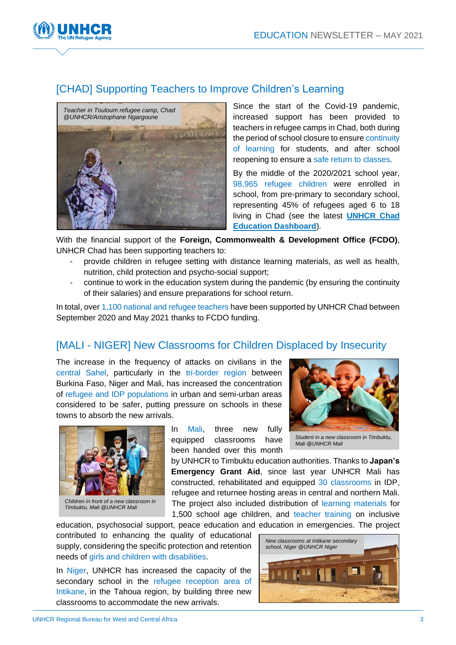

#### [CHAD] Supporting Teachers to Improve Children's Learning



Since the start of the Covid-19 pandemic, increased support has been provided to teachers in refugee camps in Chad, both during the period of school closure to ensure continuity of learning for students, and after school reopening to ensure a safe return to classes.

By the middle of the 2020/2021 school year, 98,965 refugee children were enrolled in school, from pre-primary to secondary school, representing 45% of refugees aged 6 to 18 living in Chad (see the latest **[UNHCR Chad](https://data2.unhcr.org/fr/documents/details/86986)  [Education Dashboard](https://data2.unhcr.org/fr/documents/details/86986)**).

With the financial support of the **Foreign, Commonwealth & Development Office (FCDO)**, UNHCR Chad has been supporting teachers to:

- provide children in refugee setting with distance learning materials, as well as health, nutrition, child protection and psycho-social support;
- continue to work in the education system during the pandemic (by ensuring the continuity of their salaries) and ensure preparations for school return.

In total, over 1,100 national and refugee teachers have been supported by UNHCR Chad between September 2020 and May 2021 thanks to FCDO funding.

#### [MALI - NIGER] New Classrooms for Children Displaced by Insecurity

The increase in the frequency of attacks on civilians in the central Sahel, particularly in the tri-border region between Burkina Faso, Niger and Mali, has increased the concentration of refugee and IDP populations in urban and semi-urban areas considered to be safer, putting pressure on schools in these towns to absorb the new arrivals.



*Children in front of a new classroom in Timbuktu, Mali @UNHCR Mali*

In Mali, three new fully equipped classrooms have been handed over this month



*Student in a new classroom in Timbuktu, Mali @UNHCR Mali*

by UNHCR to Timbuktu education authorities. Thanks to **Japan's Emergency Grant Aid**, since last year UNHCR Mali has constructed, rehabilitated and equipped 30 classrooms in IDP, refugee and returnee hosting areas in central and northern Mali. The project also included distribution of learning materials for 1,500 school age children, and teacher training on inclusive

education, psychosocial support, peace education and education in emergencies. The project contributed to enhancing the quality of educational supply, considering the specific protection and retention needs of girls and children with disabilities.

In Niger, UNHCR has increased the capacity of the secondary school in the refugee reception area of Intikane, in the Tahoua region, by building three new classrooms to accommodate the new arrivals.

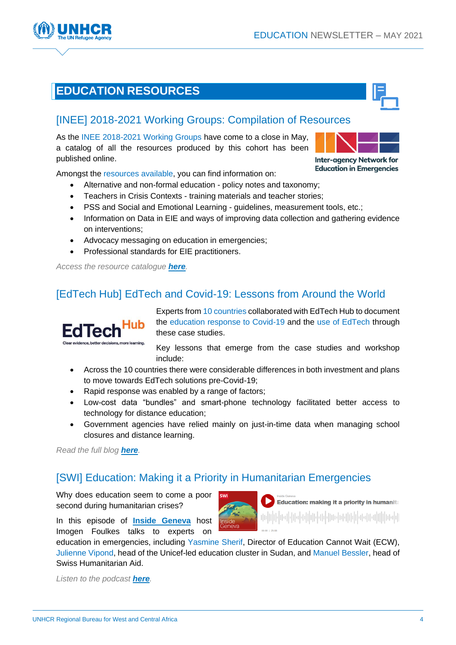## **EDUCATION RESOURCES**

### [\[INEE\] 2018-2021 Working Groups: Compilation of Resources](https://inee.org/blog/end-term-report-inee-working-groups-2018-2021)

As the INEE 2018-2021 Working Groups have come to a close in May, a catalog of all the resources produced by this cohort has been published online.

Amongst the resources available, you can find information on:

- Alternative and non-formal education policy notes and taxonomy;
- Teachers in Crisis Contexts training materials and teacher stories;
- PSS and Social and Emotional Learning guidelines, measurement tools, etc.;
- Information on Data in EIE and ways of improving data collection and gathering evidence on interventions;
- Advocacy messaging on education in emergencies;
- Professional standards for EIE practitioners.

*Access the resource catalogue [here](https://inee.org/blog/end-term-report-inee-working-groups-2018-2021).*

### [\[EdTech Hub\] EdTech and Covid-19: Lessons from Around the World](https://edtechhub.org/2021/02/19/edtech-and-covid-19-lessons-from-around-the-world/)

Experts from 10 countries collaborated with EdTech Hub to document the education response to Covid-19 and the use of EdTech through these case studies.

Key lessons that emerge from the case studies and workshop include:

- Across the 10 countries there were considerable differences in both investment and plans to move towards EdTech solutions pre-Covid-19;
- Rapid response was enabled by a range of factors:
- Low-cost data "bundles" and smart-phone technology facilitated better access to technology for distance education;
- Government agencies have relied mainly on just-in-time data when managing school closures and distance learning.

*Read the full blog [here](https://edtechhub.org/2021/02/19/edtech-and-covid-19-lessons-from-around-the-world/).*

**FdTecl** 

evidence better decisions more learning

### [\[SWI\] Education: Making it a Priority in Humanitarian Emergencies](https://www.buzzsprout.com/915097/8617254-education-making-it-a-priority-in-humanitarian-emergencies)

Why does education seem to come a poor second during humanitarian crises?

In this episode of **[Inside Geneva](https://www.swissinfo.ch/eng/insidegeneva)** host Imogen Foulkes talks to experts on

education in emergencies, including Yasmine Sherif, Director of Education Cannot Wait (ECW), Julienne Vipond, head of the Unicef-led education cluster in Sudan, and Manuel Bessler, head of Swiss Humanitarian Aid.

*Listen to the podcast [here](https://www.buzzsprout.com/915097/8617254-education-making-it-a-priority-in-humanitarian-emergencies).*



**Education in Emergencies**